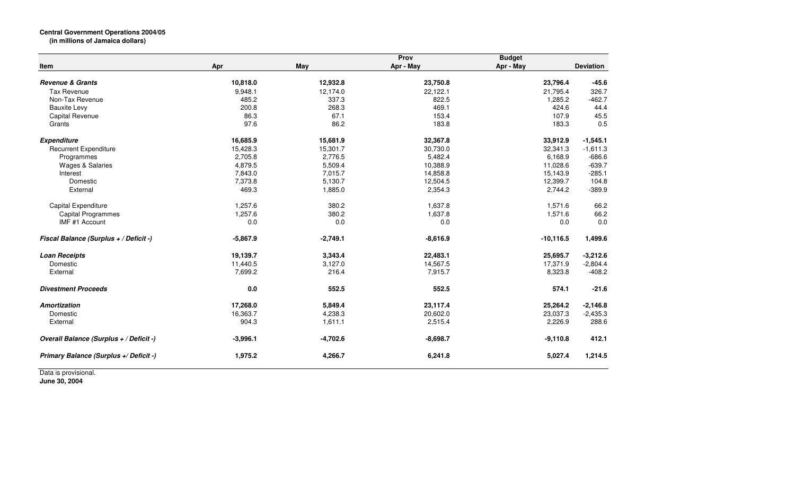## **Central Government Operations 2004/05 (in millions of Jamaica dollars)**

|                                         |            |            | Prov       | <b>Budget</b> |                  |
|-----------------------------------------|------------|------------|------------|---------------|------------------|
| <b>Item</b>                             | Apr        | May        | Apr - May  | Apr - May     | <b>Deviation</b> |
| <b>Revenue &amp; Grants</b>             | 10,818.0   | 12,932.8   | 23,750.8   | 23,796.4      | $-45.6$          |
| <b>Tax Revenue</b>                      | 9,948.1    | 12,174.0   | 22,122.1   | 21,795.4      | 326.7            |
| Non-Tax Revenue                         | 485.2      | 337.3      | 822.5      | 1,285.2       | $-462.7$         |
| <b>Bauxite Levy</b>                     | 200.8      | 268.3      | 469.1      | 424.6         | 44.4             |
| <b>Capital Revenue</b>                  | 86.3       | 67.1       | 153.4      | 107.9         | 45.5             |
| Grants                                  | 97.6       | 86.2       | 183.8      | 183.3         | 0.5              |
| <b>Expenditure</b>                      | 16,685.9   | 15,681.9   | 32,367.8   | 33,912.9      | $-1,545.1$       |
| <b>Recurrent Expenditure</b>            | 15,428.3   | 15,301.7   | 30,730.0   | 32,341.3      | $-1,611.3$       |
| Programmes                              | 2,705.8    | 2,776.5    | 5,482.4    | 6,168.9       | $-686.6$         |
| <b>Wages &amp; Salaries</b>             | 4,879.5    | 5,509.4    | 10,388.9   | 11,028.6      | $-639.7$         |
| Interest                                | 7,843.0    | 7,015.7    | 14,858.8   | 15,143.9      | $-285.1$         |
| Domestic                                | 7,373.8    | 5,130.7    | 12,504.5   | 12,399.7      | 104.8            |
| External                                | 469.3      | 1,885.0    | 2,354.3    | 2,744.2       | $-389.9$         |
| Capital Expenditure                     | 1,257.6    | 380.2      | 1,637.8    | 1,571.6       | 66.2             |
| <b>Capital Programmes</b>               | 1,257.6    | 380.2      | 1,637.8    | 1,571.6       | 66.2             |
| IMF #1 Account                          | 0.0        | 0.0        | 0.0        | 0.0           | 0.0              |
| Fiscal Balance (Surplus + / Deficit -)  | $-5,867.9$ | $-2,749.1$ | $-8,616.9$ | $-10, 116.5$  | 1,499.6          |
| <b>Loan Receipts</b>                    | 19,139.7   | 3,343.4    | 22,483.1   | 25,695.7      | $-3,212.6$       |
| Domestic                                | 11,440.5   | 3,127.0    | 14,567.5   | 17,371.9      | $-2,804.4$       |
| External                                | 7,699.2    | 216.4      | 7,915.7    | 8,323.8       | $-408.2$         |
| <b>Divestment Proceeds</b>              | 0.0        | 552.5      | 552.5      | 574.1         | $-21.6$          |
| <b>Amortization</b>                     | 17,268.0   | 5,849.4    | 23,117.4   | 25,264.2      | $-2,146.8$       |
| Domestic                                | 16,363.7   | 4,238.3    | 20,602.0   | 23,037.3      | $-2,435.3$       |
| External                                | 904.3      | 1,611.1    | 2,515.4    | 2,226.9       | 288.6            |
| Overall Balance (Surplus + / Deficit -) | $-3,996.1$ | $-4,702.6$ | $-8,698.7$ | $-9,110.8$    | 412.1            |
| Primary Balance (Surplus +/ Deficit -)  | 1,975.2    | 4,266.7    | 6,241.8    | 5,027.4       | 1,214.5          |

Data is provisional. **June 30, 2004**